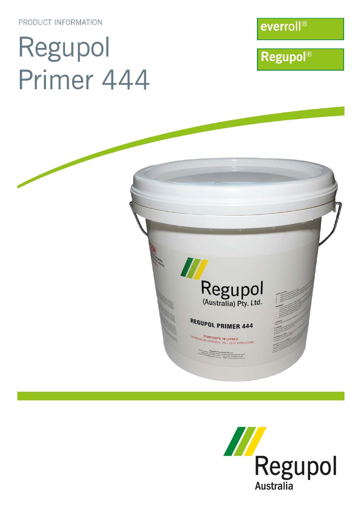PRODUCT INFORMATION

# Regupol Primer 444

everroll®

**Regupol®** 



CONTENTS 10 LITRES<br>GE APPROX. 10 - 12m<sup>2</sup> PER LITRE

Grange Russtralia) Pty Ltd<br>02 4824 0050 Smeaton Grange NSW 2567<br>92 4824 0050 - Facsmile 02 4647 4403

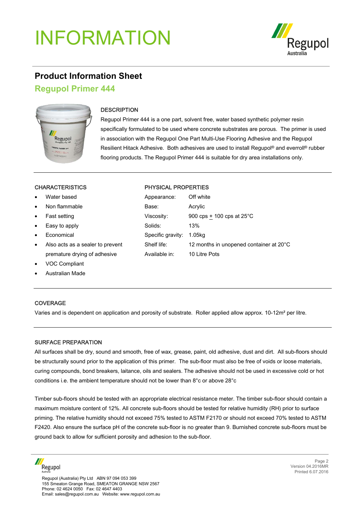## INFORMATION



### **Product Information Sheet**

#### **Regupol Primer 444**



#### **DESCRIPTION**

Regupol Primer 444 is a one part, solvent free, water based synthetic polymer resin specifically formulated to be used where concrete substrates are porous. The primer is used in association with the Regupol One Part Multi-Use Flooring Adhesive and the Regupol Resilient Hitack Adhesive. Both adhesives are used to install Regupol® and everroll® rubber flooring products. The Regupol Primer 444 is suitable for dry area installations only.

- Water based
- Non flammable
- **Fast setting**
- Easy to apply
- Economical
- Also acts as a sealer to prevent premature drying of adhesive
- VOC Compliant
- Australian Made

#### **COVERAGE**

Varies and is dependent on application and porosity of substrate. Roller applied allow approx. 10-12m² per litre.

#### SURFACE PREPARATION

All surfaces shall be dry, sound and smooth, free of wax, grease, paint, old adhesive, dust and dirt. All sub-floors should be structurally sound prior to the application of this primer. The sub-floor must also be free of voids or loose materials, curing compounds, bond breakers, laitance, oils and sealers. The adhesive should not be used in excessive cold or hot conditions i.e. the ambient temperature should not be lower than 8°c or above 28°c

Timber sub-floors should be tested with an appropriate electrical resistance meter. The timber sub-floor should contain a maximum moisture content of 12%. All concrete sub-floors should be tested for relative humidity (RH) prior to surface priming. The relative humidity should not exceed 75% tested to ASTM F2170 or should not exceed 70% tested to ASTM F2420. Also ensure the surface pH of the concrete sub-floor is no greater than 9. Burnished concrete sub-floors must be ground back to allow for sufficient porosity and adhesion to the sub-floor.



#### CHARACTERISTICS PHYSICAL PROPERTIES

| Appearance:       | Off white                               |
|-------------------|-----------------------------------------|
| Base:             | Acrylic                                 |
| Viscosity:        | 900 cps + 100 cps at $25^{\circ}$ C     |
| Solids:           | 13%                                     |
| Specific gravity: | 1.05ka                                  |
| Shelf life:       | 12 months in unopened container at 20°C |
| Available in:     | 10 Litre Pots                           |
|                   |                                         |